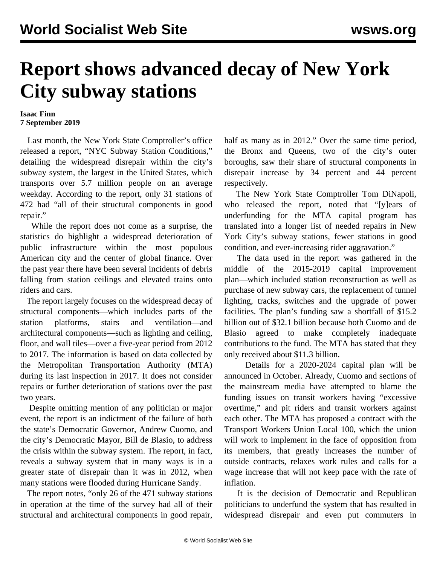## **Report shows advanced decay of New York City subway stations**

## **Isaac Finn 7 September 2019**

 Last month, the New York State Comptroller's office released a report, "NYC Subway Station Conditions," detailing the widespread disrepair within the city's subway system, the largest in the United States, which transports over 5.7 million people on an average weekday. According to the report, only 31 stations of 472 had "all of their structural components in good repair."

 While the report does not come as a surprise, the statistics do highlight a widespread deterioration of public infrastructure within the most populous American city and the center of global finance. Over the past year there have been several incidents of debris falling from station ceilings and elevated trains onto riders and cars.

 The report largely focuses on the widespread decay of structural components—which includes parts of the station platforms, stairs and ventilation—and architectural components—such as lighting and ceiling, floor, and wall tiles—over a five-year period from 2012 to 2017. The information is based on data collected by the Metropolitan Transportation Authority (MTA) during its last inspection in 2017. It does not consider repairs or further deterioration of stations over the past two years.

 Despite omitting mention of any politician or major event, the report is an indictment of the failure of both the state's Democratic Governor, Andrew Cuomo, and the city's Democratic Mayor, Bill de Blasio, to address the crisis within the subway system. The report, in fact, reveals a subway system that in many ways is in a greater state of disrepair than it was in 2012, when many stations were flooded during Hurricane Sandy.

 The report notes, "only 26 of the 471 subway stations in operation at the time of the survey had all of their structural and architectural components in good repair,

half as many as in 2012." Over the same time period, the Bronx and Queens, two of the city's outer boroughs, saw their share of structural components in disrepair increase by 34 percent and 44 percent respectively.

 The New York State Comptroller Tom DiNapoli, who released the report, noted that "[y]ears of underfunding for the MTA capital program has translated into a longer list of needed repairs in New York City's subway stations, fewer stations in good condition, and ever-increasing rider aggravation."

 The data used in the report was gathered in the middle of the 2015-2019 capital improvement plan—which included station reconstruction as well as purchase of new subway cars, the replacement of tunnel lighting, tracks, switches and the upgrade of power facilities. The plan's funding saw a shortfall of \$15.2 billion out of \$32.1 billion because both Cuomo and de Blasio agreed to make completely inadequate contributions to the fund. The MTA has stated that they only received about \$11.3 billion.

 Details for a 2020-2024 capital plan will be announced in October. Already, Cuomo and sections of the mainstream media have attempted to blame the funding issues on transit workers having "excessive overtime," and pit riders and transit workers against each other. The MTA has [proposed a contract](/en/articles/2019/09/04/nyct-s04.html) with the Transport Workers Union Local 100, which the union will work to implement in the face of opposition from its members, that greatly increases the number of outside contracts, relaxes work rules and calls for a wage increase that will not keep pace with the rate of inflation.

 It is the decision of Democratic and Republican politicians to underfund the system that has resulted in widespread disrepair and even put commuters in